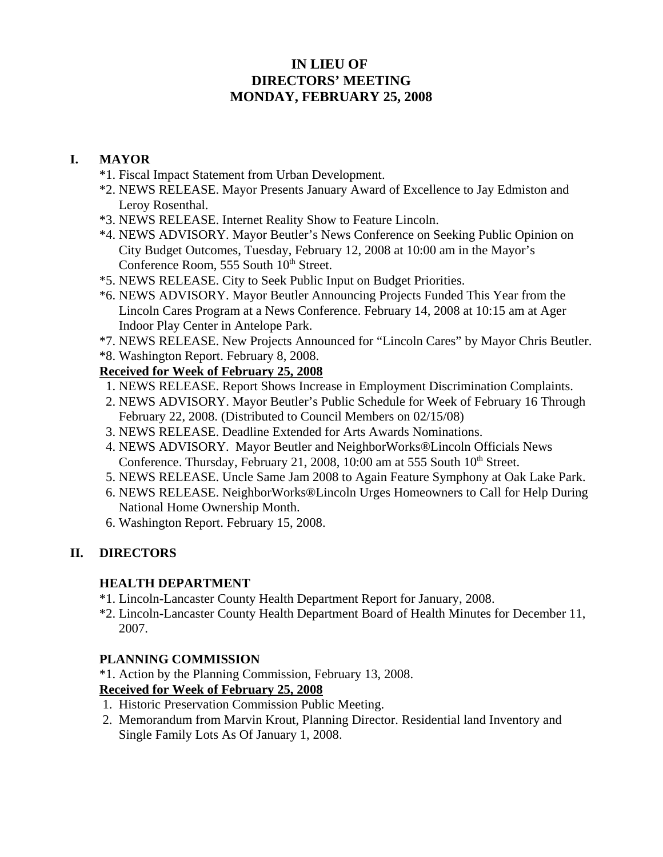# **IN LIEU OF DIRECTORS' MEETING MONDAY, FEBRUARY 25, 2008**

### **I. MAYOR**

- \*1. Fiscal Impact Statement from Urban Development.
- \*2. NEWS RELEASE. Mayor Presents January Award of Excellence to Jay Edmiston and Leroy Rosenthal.
- \*3. NEWS RELEASE. Internet Reality Show to Feature Lincoln.
- \*4. NEWS ADVISORY. Mayor Beutler's News Conference on Seeking Public Opinion on City Budget Outcomes, Tuesday, February 12, 2008 at 10:00 am in the Mayor's Conference Room, 555 South 10<sup>th</sup> Street.
- \*5. NEWS RELEASE. City to Seek Public Input on Budget Priorities.
- \*6. NEWS ADVISORY. Mayor Beutler Announcing Projects Funded This Year from the Lincoln Cares Program at a News Conference. February 14, 2008 at 10:15 am at Ager Indoor Play Center in Antelope Park.
- \*7. NEWS RELEASE. New Projects Announced for "Lincoln Cares" by Mayor Chris Beutler.
- \*8. Washington Report. February 8, 2008.

### **Received for Week of February 25, 2008**

- 1. NEWS RELEASE. Report Shows Increase in Employment Discrimination Complaints.
- 2. NEWS ADVISORY. Mayor Beutler's Public Schedule for Week of February 16 Through February 22, 2008. (Distributed to Council Members on 02/15/08)
- 3. NEWS RELEASE. Deadline Extended for Arts Awards Nominations.
- 4. NEWS ADVISORY. Mayor Beutler and NeighborWorks®Lincoln Officials News Conference. Thursday, February 21, 2008, 10:00 am at 555 South  $10<sup>th</sup>$  Street.
- 5. NEWS RELEASE. Uncle Same Jam 2008 to Again Feature Symphony at Oak Lake Park.
- 6. NEWS RELEASE. NeighborWorks®Lincoln Urges Homeowners to Call for Help During National Home Ownership Month.
- 6. Washington Report. February 15, 2008.

# **II. DIRECTORS**

### **HEALTH DEPARTMENT**

- \*1. Lincoln-Lancaster County Health Department Report for January, 2008.
- \*2. Lincoln-Lancaster County Health Department Board of Health Minutes for December 11, 2007.

#### **PLANNING COMMISSION**

\*1. Action by the Planning Commission, February 13, 2008.

### **Received for Week of February 25, 2008**

- 1. Historic Preservation Commission Public Meeting.
- 2. Memorandum from Marvin Krout, Planning Director. Residential land Inventory and Single Family Lots As Of January 1, 2008.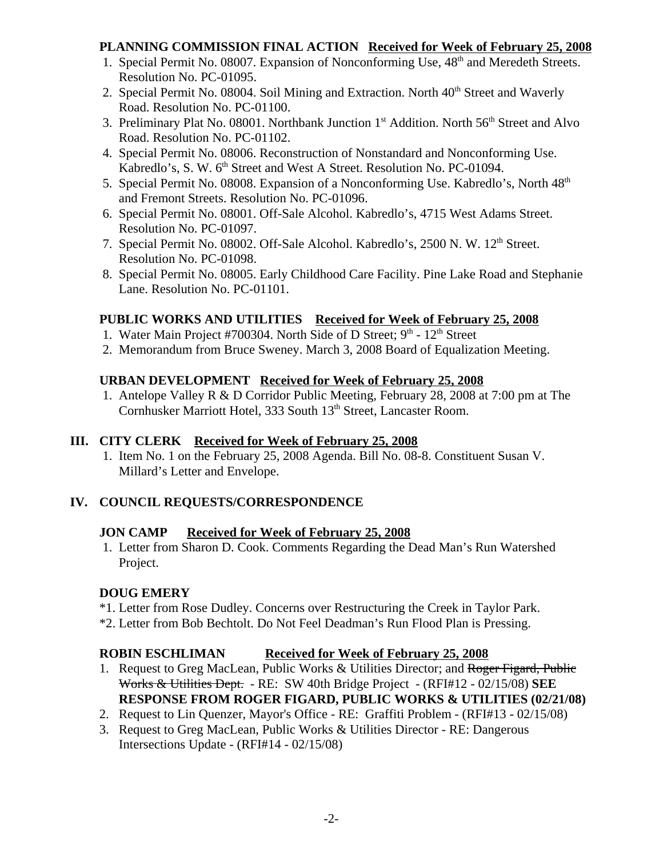#### **PLANNING COMMISSION FINAL ACTION Received for Week of February 25, 2008**

- 1. Special Permit No. 08007. Expansion of Nonconforming Use,  $48<sup>th</sup>$  and Meredeth Streets. Resolution No. PC-01095.
- 2. Special Permit No. 08004. Soil Mining and Extraction. North  $40<sup>th</sup>$  Street and Waverly Road. Resolution No. PC-01100.
- 3. Preliminary Plat No. 08001. Northbank Junction  $1<sup>st</sup>$  Addition. North  $56<sup>th</sup>$  Street and Alvo Road. Resolution No. PC-01102.
- 4. Special Permit No. 08006. Reconstruction of Nonstandard and Nonconforming Use. Kabredlo's, S. W. 6<sup>th</sup> Street and West A Street. Resolution No. PC-01094.
- 5. Special Permit No. 08008. Expansion of a Nonconforming Use. Kabredlo's, North 48th and Fremont Streets. Resolution No. PC-01096.
- 6. Special Permit No. 08001. Off-Sale Alcohol. Kabredlo's, 4715 West Adams Street. Resolution No. PC-01097.
- 7. Special Permit No. 08002. Off-Sale Alcohol. Kabredlo's, 2500 N. W. 12<sup>th</sup> Street. Resolution No. PC-01098.
- 8. Special Permit No. 08005. Early Childhood Care Facility. Pine Lake Road and Stephanie Lane. Resolution No. PC-01101.

### **PUBLIC WORKS AND UTILITIES Received for Week of February 25, 2008**

- 1. Water Main Project #700304. North Side of D Street; 9<sup>th</sup> 12<sup>th</sup> Street
- 2. Memorandum from Bruce Sweney. March 3, 2008 Board of Equalization Meeting.

### **URBAN DEVELOPMENT Received for Week of February 25, 2008**

 1. Antelope Valley R & D Corridor Public Meeting, February 28, 2008 at 7:00 pm at The Cornhusker Marriott Hotel, 333 South 13<sup>th</sup> Street, Lancaster Room.

### **III. CITY CLERK Received for Week of February 25, 2008**

1. Item No. 1 on the February 25, 2008 Agenda. Bill No. 08-8. Constituent Susan V. Millard's Letter and Envelope.

### **IV. COUNCIL REQUESTS/CORRESPONDENCE**

### **JON CAMP Received for Week of February 25, 2008**

 1. Letter from Sharon D. Cook. Comments Regarding the Dead Man's Run Watershed Project.

### **DOUG EMERY**

- \*1. Letter from Rose Dudley. Concerns over Restructuring the Creek in Taylor Park.
- \*2. Letter from Bob Bechtolt. Do Not Feel Deadman's Run Flood Plan is Pressing.

### **ROBIN ESCHLIMAN Received for Week of February 25, 2008**

- 1. Request to Greg MacLean, Public Works & Utilities Director; and Roger Figard, Public Works & Utilities Dept. - RE: SW 40th Bridge Project - (RFI#12 - 02/15/08) **SEE RESPONSE FROM ROGER FIGARD, PUBLIC WORKS & UTILITIES (02/21/08)**
- 2. Request to Lin Quenzer, Mayor's Office RE: Graffiti Problem (RFI#13 02/15/08)
- 3. Request to Greg MacLean, Public Works & Utilities Director RE: Dangerous Intersections Update - (RFI#14 - 02/15/08)